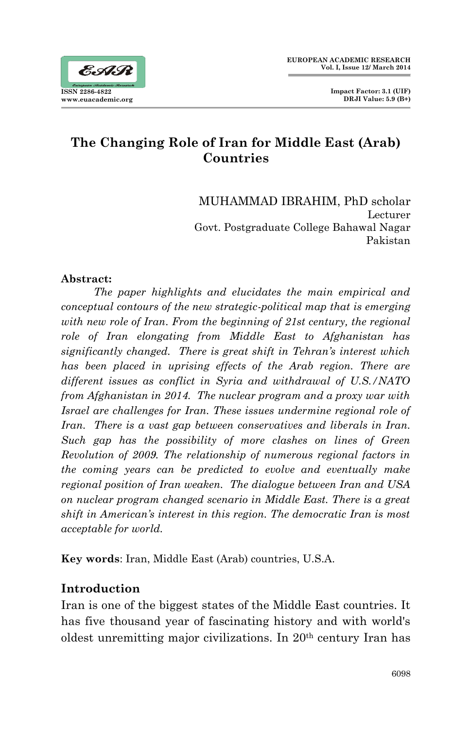## **The Changing Role of Iran for Middle East (Arab) Countries**

MUHAMMAD IBRAHIM, PhD scholar Lecturer Govt. Postgraduate College Bahawal Nagar Pakistan

#### **Abstract:**

 *The paper highlights and elucidates the main empirical and conceptual contours of the new strategic-political map that is emerging with new role of Iran. From the beginning of 21st century, the regional role of Iran elongating from Middle East to Afghanistan has significantly changed. There is great shift in Tehran's interest which has been placed in uprising effects of the Arab region. There are different issues as conflict in Syria and withdrawal of U.S./NATO from Afghanistan in 2014. The nuclear program and a proxy war with Israel are challenges for Iran. These issues undermine regional role of Iran. There is a vast gap between conservatives and liberals in Iran. Such gap has the possibility of more clashes on lines of Green Revolution of 2009. The relationship of numerous regional factors in the coming years can be predicted to evolve and eventually make regional position of Iran weaken. The dialogue between Iran and USA on nuclear program changed scenario in Middle East. There is a great shift in American's interest in this region. The democratic Iran is most acceptable for world.* 

**Key words**: Iran, Middle East (Arab) countries, U.S.A.

## **Introduction**

Iran is one of the biggest states of the Middle East countries. It has five thousand year of fascinating history and with world's oldest unremitting major civilizations. In 20th century Iran has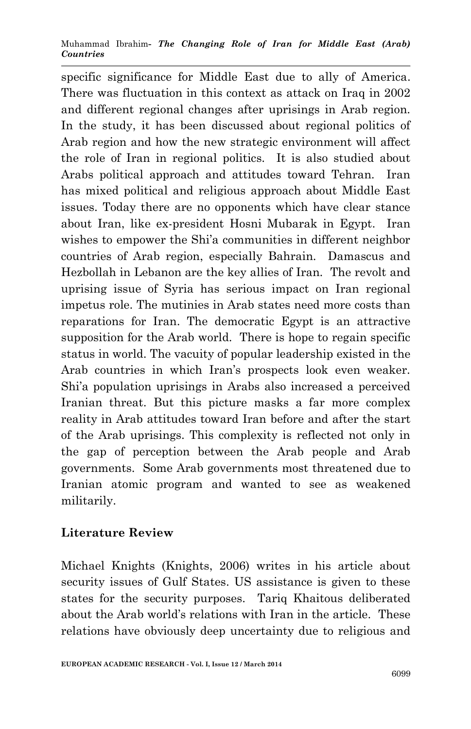specific significance for Middle East due to ally of America. There was fluctuation in this context as attack on Iraq in 2002 and different regional changes after uprisings in Arab region. In the study, it has been discussed about regional politics of Arab region and how the new strategic environment will affect the role of Iran in regional politics. It is also studied about Arabs political approach and attitudes toward Tehran. Iran has mixed political and religious approach about Middle East issues. Today there are no opponents which have clear stance about Iran, like ex-president Hosni Mubarak in Egypt. Iran wishes to empower the Shi'a communities in different neighbor countries of Arab region, especially Bahrain. Damascus and Hezbollah in Lebanon are the key allies of Iran. The revolt and uprising issue of Syria has serious impact on Iran regional impetus role. The mutinies in Arab states need more costs than reparations for Iran. The democratic Egypt is an attractive supposition for the Arab world. There is hope to regain specific status in world. The vacuity of popular leadership existed in the Arab countries in which Iran's prospects look even weaker. Shi'a population uprisings in Arabs also increased a perceived Iranian threat. But this picture masks a far more complex reality in Arab attitudes toward Iran before and after the start of the Arab uprisings. This complexity is reflected not only in the gap of perception between the Arab people and Arab governments. Some Arab governments most threatened due to Iranian atomic program and wanted to see as weakened militarily.

## **Literature Review**

Michael Knights (Knights, 2006) writes in his article about security issues of Gulf States. US assistance is given to these states for the security purposes. Tariq Khaitous deliberated about the Arab world's relations with Iran in the article. These relations have obviously deep uncertainty due to religious and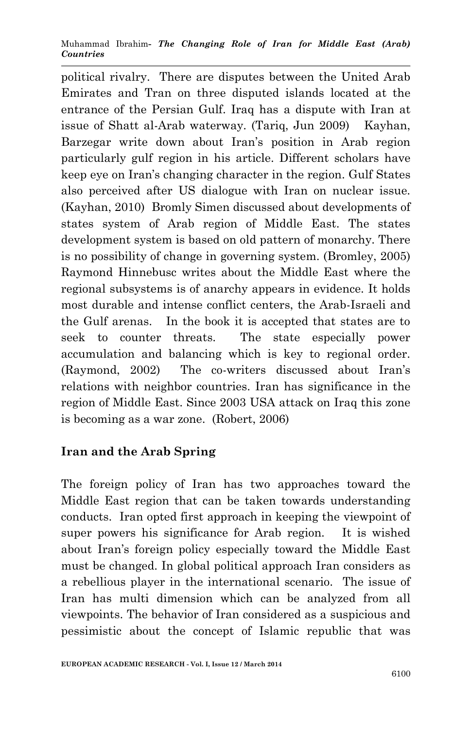political rivalry. There are disputes between the United Arab Emirates and Tran on three disputed islands located at the entrance of the Persian Gulf. Iraq has a dispute with Iran at issue of Shatt al-Arab waterway. (Tariq, Jun 2009) Kayhan, Barzegar write down about Iran's position in Arab region particularly gulf region in his article. Different scholars have keep eye on Iran's changing character in the region. Gulf States also perceived after US dialogue with Iran on nuclear issue. (Kayhan, 2010) Bromly Simen discussed about developments of states system of Arab region of Middle East. The states development system is based on old pattern of monarchy. There is no possibility of change in governing system. (Bromley, 2005) Raymond Hinnebusc writes about the Middle East where the regional subsystems is of anarchy appears in evidence. It holds most durable and intense conflict centers, the Arab-Israeli and the Gulf arenas. In the book it is accepted that states are to seek to counter threats. The state especially power accumulation and balancing which is key to regional order. (Raymond, 2002) The co-writers discussed about Iran's relations with neighbor countries. Iran has significance in the region of Middle East. Since 2003 USA attack on Iraq this zone is becoming as a war zone. (Robert, 2006)

## **Iran and the Arab Spring**

The foreign policy of Iran has two approaches toward the Middle East region that can be taken towards understanding conducts. Iran opted first approach in keeping the viewpoint of super powers his significance for Arab region. It is wished about Iran's foreign policy especially toward the Middle East must be changed. In global political approach Iran considers as a rebellious player in the international scenario. The issue of Iran has multi dimension which can be analyzed from all viewpoints. The behavior of Iran considered as a suspicious and pessimistic about the concept of Islamic republic that was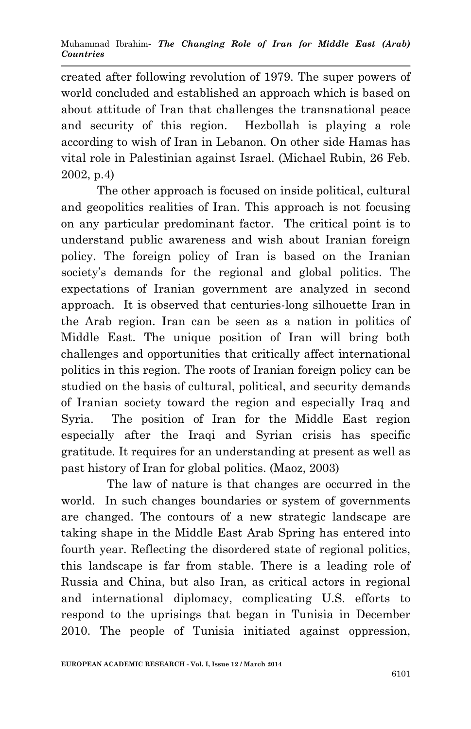created after following revolution of 1979. The super powers of world concluded and established an approach which is based on about attitude of Iran that challenges the transnational peace and security of this region. Hezbollah is playing a role according to wish of Iran in Lebanon. On other side Hamas has vital role in Palestinian against Israel. (Michael Rubin, 26 Feb. 2002, p.4)

 The other approach is focused on inside political, cultural and geopolitics realities of Iran. This approach is not focusing on any particular predominant factor. The critical point is to understand public awareness and wish about Iranian foreign policy. The foreign policy of Iran is based on the Iranian society's demands for the regional and global politics. The expectations of Iranian government are analyzed in second approach. It is observed that centuries-long silhouette Iran in the Arab region. Iran can be seen as a nation in politics of Middle East. The unique position of Iran will bring both challenges and opportunities that critically affect international politics in this region. The roots of Iranian foreign policy can be studied on the basis of cultural, political, and security demands of Iranian society toward the region and especially Iraq and Syria. The position of Iran for the Middle East region especially after the Iraqi and Syrian crisis has specific gratitude. It requires for an understanding at present as well as past history of Iran for global politics. (Maoz, 2003)

 The law of nature is that changes are occurred in the world. In such changes boundaries or system of governments are changed. The contours of a new strategic landscape are taking shape in the Middle East Arab Spring has entered into fourth year. Reflecting the disordered state of regional politics, this landscape is far from stable. There is a leading role of Russia and China, but also Iran, as critical actors in regional and international diplomacy, complicating U.S. efforts to respond to the uprisings that began in Tunisia in December 2010. The people of Tunisia initiated against oppression,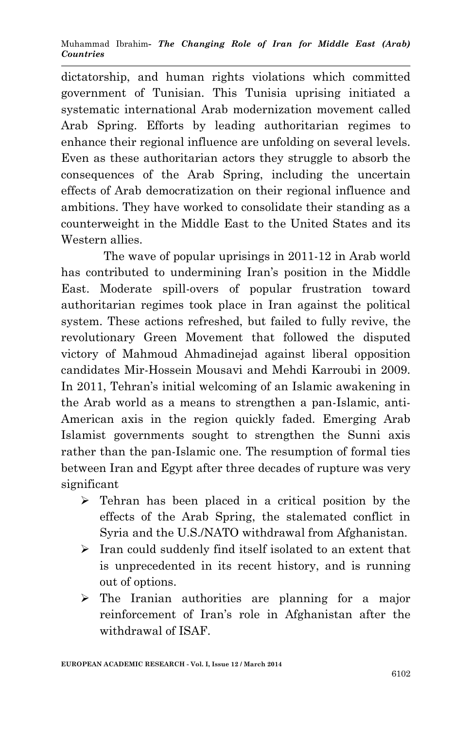dictatorship, and human rights violations which committed government of Tunisian. This Tunisia uprising initiated a systematic international Arab modernization movement called Arab Spring. Efforts by leading authoritarian regimes to enhance their regional influence are unfolding on several levels. Even as these authoritarian actors they struggle to absorb the consequences of the Arab Spring, including the uncertain effects of Arab democratization on their regional influence and ambitions. They have worked to consolidate their standing as a counterweight in the Middle East to the United States and its Western allies.

 The wave of popular uprisings in 2011-12 in Arab world has contributed to undermining Iran's position in the Middle East. Moderate spill-overs of popular frustration toward authoritarian regimes took place in Iran against the political system. These actions refreshed, but failed to fully revive, the revolutionary Green Movement that followed the disputed victory of Mahmoud Ahmadinejad against liberal opposition candidates Mir-Hossein Mousavi and Mehdi Karroubi in 2009. In 2011, Tehran's initial welcoming of an Islamic awakening in the Arab world as a means to strengthen a pan-Islamic, anti-American axis in the region quickly faded. Emerging Arab Islamist governments sought to strengthen the Sunni axis rather than the pan-Islamic one. The resumption of formal ties between Iran and Egypt after three decades of rupture was very significant

- $\triangleright$  Tehran has been placed in a critical position by the effects of the Arab Spring, the stalemated conflict in Syria and the U.S./NATO withdrawal from Afghanistan.
- $\triangleright$  Iran could suddenly find itself isolated to an extent that is unprecedented in its recent history, and is running out of options.
- $\triangleright$  The Iranian authorities are planning for a major reinforcement of Iran's role in Afghanistan after the withdrawal of ISAF.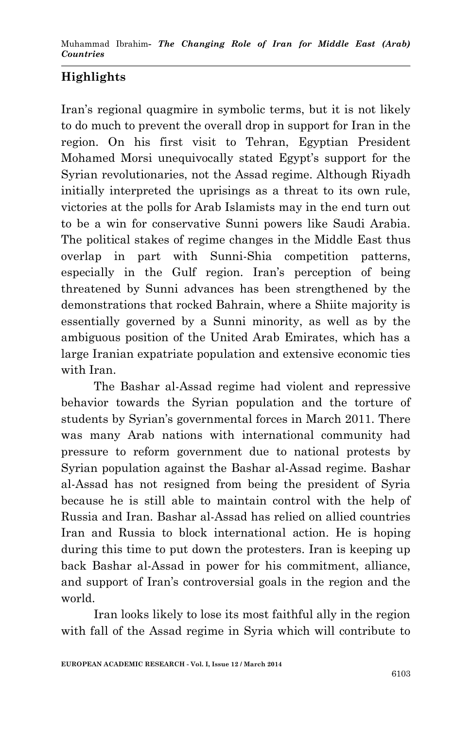# **Highlights**

Iran's regional quagmire in symbolic terms, but it is not likely to do much to prevent the overall drop in support for Iran in the region. On his first visit to Tehran, Egyptian President Mohamed Morsi unequivocally stated Egypt's support for the Syrian revolutionaries, not the Assad regime. Although Riyadh initially interpreted the uprisings as a threat to its own rule, victories at the polls for Arab Islamists may in the end turn out to be a win for conservative Sunni powers like Saudi Arabia. The political stakes of regime changes in the Middle East thus overlap in part with Sunni-Shia competition patterns, especially in the Gulf region. Iran's perception of being threatened by Sunni advances has been strengthened by the demonstrations that rocked Bahrain, where a Shiite majority is essentially governed by a Sunni minority, as well as by the ambiguous position of the United Arab Emirates, which has a large Iranian expatriate population and extensive economic ties with Iran.

 The Bashar al-Assad regime had violent and repressive behavior towards the Syrian population and the torture of students by Syrian's governmental forces in March 2011. There was many Arab nations with international community had pressure to reform government due to national protests by Syrian population against the Bashar al-Assad regime. Bashar al-Assad has not resigned from being the president of Syria because he is still able to maintain control with the help of Russia and Iran. Bashar al-Assad has relied on allied countries Iran and Russia to block international action. He is hoping during this time to put down the protesters. Iran is keeping up back Bashar al-Assad in power for his commitment, alliance, and support of Iran's controversial goals in the region and the world.

 Iran looks likely to lose its most faithful ally in the region with fall of the Assad regime in Syria which will contribute to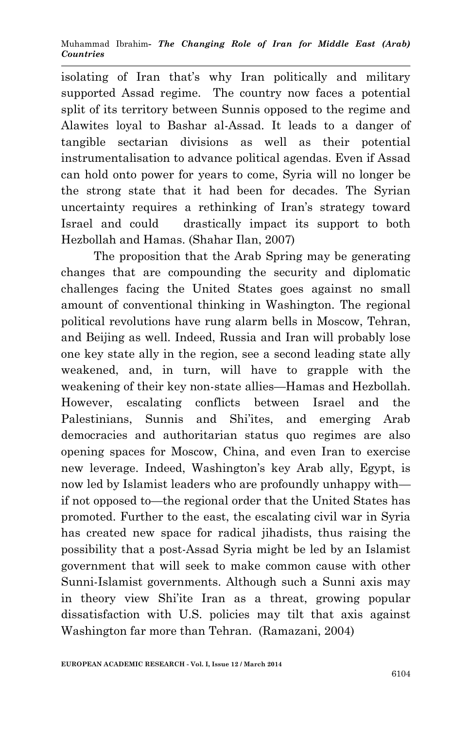isolating of Iran that's why Iran politically and military supported Assad regime. The country now faces a potential split of its territory between Sunnis opposed to the regime and Alawites loyal to Bashar al-Assad. It leads to a danger of tangible sectarian divisions as well as their potential instrumentalisation to advance political agendas. Even if Assad can hold onto power for years to come, Syria will no longer be the strong state that it had been for decades. The Syrian uncertainty requires a rethinking of Iran's strategy toward Israel and could drastically impact its support to both Hezbollah and Hamas. (Shahar Ilan, 2007)

 The proposition that the Arab Spring may be generating changes that are compounding the security and diplomatic challenges facing the United States goes against no small amount of conventional thinking in Washington. The regional political revolutions have rung alarm bells in Moscow, Tehran, and Beijing as well. Indeed, Russia and Iran will probably lose one key state ally in the region, see a second leading state ally weakened, and, in turn, will have to grapple with the weakening of their key non-state allies—Hamas and Hezbollah. However, escalating conflicts between Israel and the Palestinians, Sunnis and Shi'ites, and emerging Arab democracies and authoritarian status quo regimes are also opening spaces for Moscow, China, and even Iran to exercise new leverage. Indeed, Washington's key Arab ally, Egypt, is now led by Islamist leaders who are profoundly unhappy with if not opposed to—the regional order that the United States has promoted. Further to the east, the escalating civil war in Syria has created new space for radical jihadists, thus raising the possibility that a post-Assad Syria might be led by an Islamist government that will seek to make common cause with other Sunni-Islamist governments. Although such a Sunni axis may in theory view Shi'ite Iran as a threat, growing popular dissatisfaction with U.S. policies may tilt that axis against Washington far more than Tehran. (Ramazani, 2004)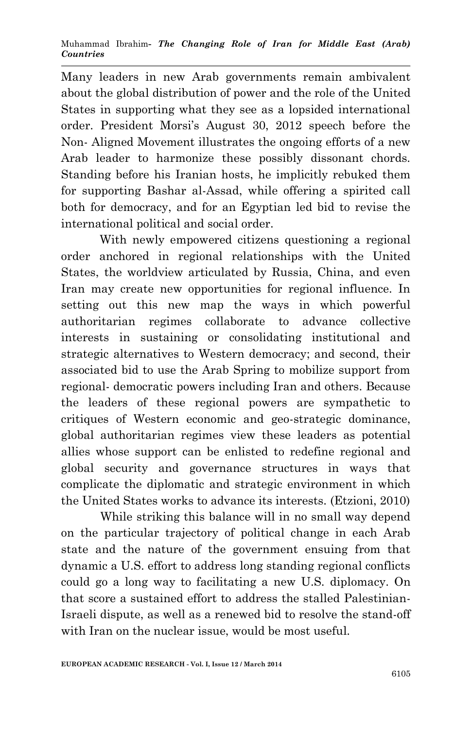Many leaders in new Arab governments remain ambivalent about the global distribution of power and the role of the United States in supporting what they see as a lopsided international order. President Morsi's August 30, 2012 speech before the Non- Aligned Movement illustrates the ongoing efforts of a new Arab leader to harmonize these possibly dissonant chords. Standing before his Iranian hosts, he implicitly rebuked them for supporting Bashar al-Assad, while offering a spirited call both for democracy, and for an Egyptian led bid to revise the international political and social order.

With newly empowered citizens questioning a regional order anchored in regional relationships with the United States, the worldview articulated by Russia, China, and even Iran may create new opportunities for regional influence. In setting out this new map the ways in which powerful authoritarian regimes collaborate to advance collective interests in sustaining or consolidating institutional and strategic alternatives to Western democracy; and second, their associated bid to use the Arab Spring to mobilize support from regional- democratic powers including Iran and others. Because the leaders of these regional powers are sympathetic to critiques of Western economic and geo-strategic dominance, global authoritarian regimes view these leaders as potential allies whose support can be enlisted to redefine regional and global security and governance structures in ways that complicate the diplomatic and strategic environment in which the United States works to advance its interests. (Etzioni, 2010)

 While striking this balance will in no small way depend on the particular trajectory of political change in each Arab state and the nature of the government ensuing from that dynamic a U.S. effort to address long standing regional conflicts could go a long way to facilitating a new U.S. diplomacy. On that score a sustained effort to address the stalled Palestinian-Israeli dispute, as well as a renewed bid to resolve the stand-off with Iran on the nuclear issue, would be most useful.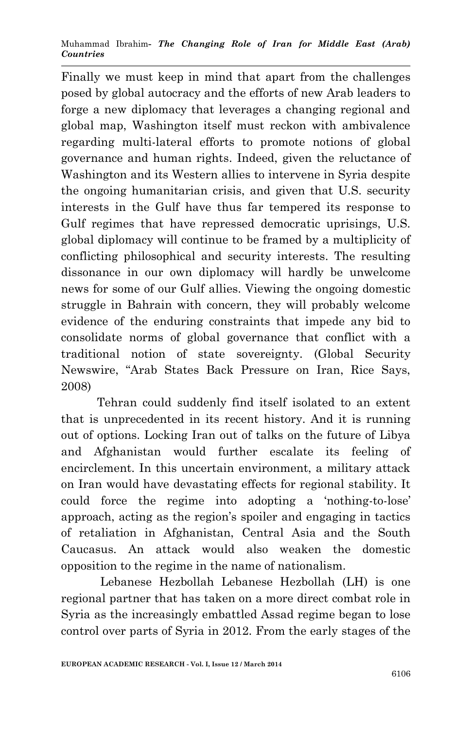Finally we must keep in mind that apart from the challenges posed by global autocracy and the efforts of new Arab leaders to forge a new diplomacy that leverages a changing regional and global map, Washington itself must reckon with ambivalence regarding multi-lateral efforts to promote notions of global governance and human rights. Indeed, given the reluctance of Washington and its Western allies to intervene in Syria despite the ongoing humanitarian crisis, and given that U.S. security interests in the Gulf have thus far tempered its response to Gulf regimes that have repressed democratic uprisings, U.S. global diplomacy will continue to be framed by a multiplicity of conflicting philosophical and security interests. The resulting dissonance in our own diplomacy will hardly be unwelcome news for some of our Gulf allies. Viewing the ongoing domestic struggle in Bahrain with concern, they will probably welcome evidence of the enduring constraints that impede any bid to consolidate norms of global governance that conflict with a traditional notion of state sovereignty. (Global Security Newswire, "Arab States Back Pressure on Iran, Rice Says, 2008)

 Tehran could suddenly find itself isolated to an extent that is unprecedented in its recent history. And it is running out of options. Locking Iran out of talks on the future of Libya and Afghanistan would further escalate its feeling of encirclement. In this uncertain environment, a military attack on Iran would have devastating effects for regional stability. It could force the regime into adopting a 'nothing-to-lose' approach, acting as the region's spoiler and engaging in tactics of retaliation in Afghanistan, Central Asia and the South Caucasus. An attack would also weaken the domestic opposition to the regime in the name of nationalism.

 Lebanese Hezbollah Lebanese Hezbollah (LH) is one regional partner that has taken on a more direct combat role in Syria as the increasingly embattled Assad regime began to lose control over parts of Syria in 2012. From the early stages of the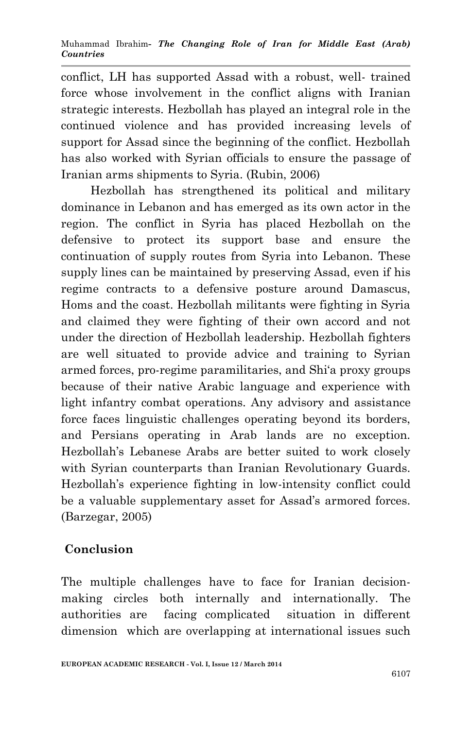conflict, LH has supported Assad with a robust, well- trained force whose involvement in the conflict aligns with Iranian strategic interests. Hezbollah has played an integral role in the continued violence and has provided increasing levels of support for Assad since the beginning of the conflict. Hezbollah has also worked with Syrian officials to ensure the passage of Iranian arms shipments to Syria. (Rubin, 2006)

 Hezbollah has strengthened its political and military dominance in Lebanon and has emerged as its own actor in the region. The conflict in Syria has placed Hezbollah on the defensive to protect its support base and ensure the continuation of supply routes from Syria into Lebanon. These supply lines can be maintained by preserving Assad, even if his regime contracts to a defensive posture around Damascus, Homs and the coast. Hezbollah militants were fighting in Syria and claimed they were fighting of their own accord and not under the direction of Hezbollah leadership. Hezbollah fighters are well situated to provide advice and training to Syrian armed forces, pro-regime paramilitaries, and Shi'a proxy groups because of their native Arabic language and experience with light infantry combat operations. Any advisory and assistance force faces linguistic challenges operating beyond its borders, and Persians operating in Arab lands are no exception. Hezbollah's Lebanese Arabs are better suited to work closely with Syrian counterparts than Iranian Revolutionary Guards. Hezbollah's experience fighting in low-intensity conflict could be a valuable supplementary asset for Assad's armored forces. (Barzegar, 2005)

## **Conclusion**

The multiple challenges have to face for Iranian decisionmaking circles both internally and internationally. The authorities are facing complicated situation in different dimension which are overlapping at international issues such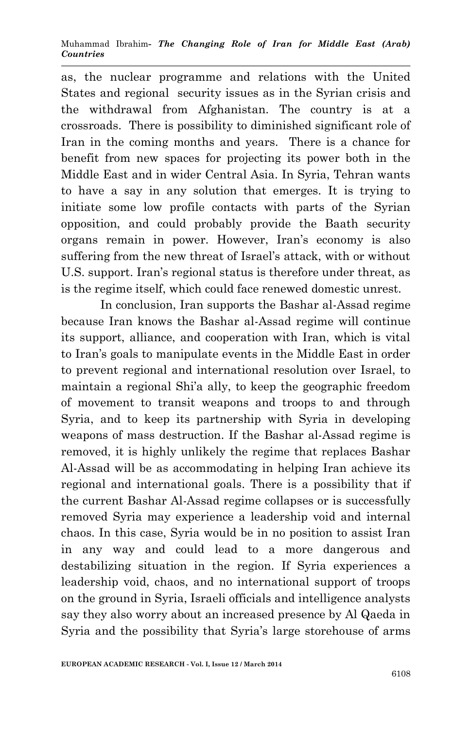as, the nuclear programme and relations with the United States and regional security issues as in the Syrian crisis and the withdrawal from Afghanistan. The country is at a crossroads. There is possibility to diminished significant role of Iran in the coming months and years. There is a chance for benefit from new spaces for projecting its power both in the Middle East and in wider Central Asia. In Syria, Tehran wants to have a say in any solution that emerges. It is trying to initiate some low profile contacts with parts of the Syrian opposition, and could probably provide the Baath security organs remain in power. However, Iran's economy is also suffering from the new threat of Israel's attack, with or without U.S. support. Iran's regional status is therefore under threat, as is the regime itself, which could face renewed domestic unrest.

 In conclusion, Iran supports the Bashar al-Assad regime because Iran knows the Bashar al-Assad regime will continue its support, alliance, and cooperation with Iran, which is vital to Iran's goals to manipulate events in the Middle East in order to prevent regional and international resolution over Israel, to maintain a regional Shi'a ally, to keep the geographic freedom of movement to transit weapons and troops to and through Syria, and to keep its partnership with Syria in developing weapons of mass destruction. If the Bashar al-Assad regime is removed, it is highly unlikely the regime that replaces Bashar Al-Assad will be as accommodating in helping Iran achieve its regional and international goals. There is a possibility that if the current Bashar Al-Assad regime collapses or is successfully removed Syria may experience a leadership void and internal chaos. In this case, Syria would be in no position to assist Iran in any way and could lead to a more dangerous and destabilizing situation in the region. If Syria experiences a leadership void, chaos, and no international support of troops on the ground in Syria, Israeli officials and intelligence analysts say they also worry about an increased presence by Al Qaeda in Syria and the possibility that Syria's large storehouse of arms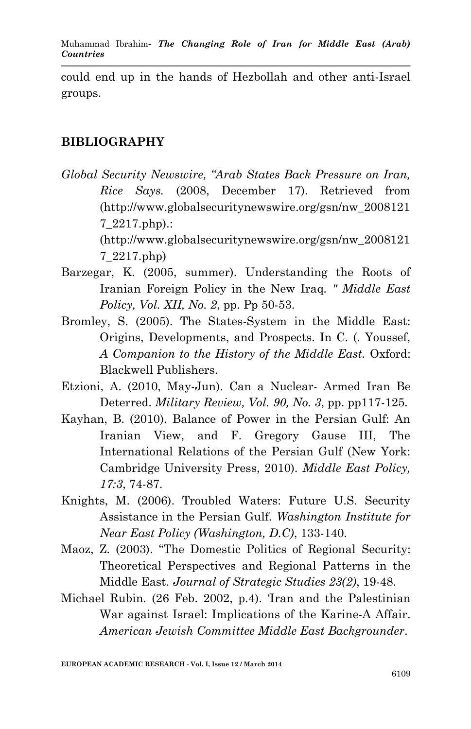could end up in the hands of Hezbollah and other anti-Israel groups.

## **BIBLIOGRAPHY**

*Global Security Newswire, "Arab States Back Pressure on Iran, Rice Says.* (2008, December 17). Retrieved from (http://www.globalsecuritynewswire.org/gsn/nw\_2008121 7\_2217.php).:

> (http://www.globalsecuritynewswire.org/gsn/nw\_2008121 7\_2217.php)

- Barzegar, K. (2005, summer). Understanding the Roots of Iranian Foreign Policy in the New Iraq. *" Middle East Policy, Vol. XII, No. 2*, pp. Pp 50-53.
- Bromley, S. (2005). The States-System in the Middle East: Origins, Developments, and Prospects. In C. (. Youssef, *A Companion to the History of the Middle East.* Oxford: Blackwell Publishers.
- Etzioni, A. (2010, May-Jun). Can a Nuclear- Armed Iran Be Deterred. *Military Review, Vol. 90, No. 3*, pp. pp117-125.
- Kayhan, B. (2010). Balance of Power in the Persian Gulf: An Iranian View, and F. Gregory Gause III, The International Relations of the Persian Gulf (New York: Cambridge University Press, 2010). *Middle East Policy, 17:3*, 74-87.
- Knights, M. (2006). Troubled Waters: Future U.S. Security Assistance in the Persian Gulf. *Washington Institute for Near East Policy (Washington, D.C)*, 133-140.
- Maoz, Z. (2003). "The Domestic Politics of Regional Security: Theoretical Perspectives and Regional Patterns in the Middle East. *Journal of Strategic Studies 23(2)*, 19-48.
- Michael Rubin. (26 Feb. 2002, p.4). 'Iran and the Palestinian War against Israel: Implications of the Karine-A Affair. *American Jewish Committee Middle East Backgrounder*.